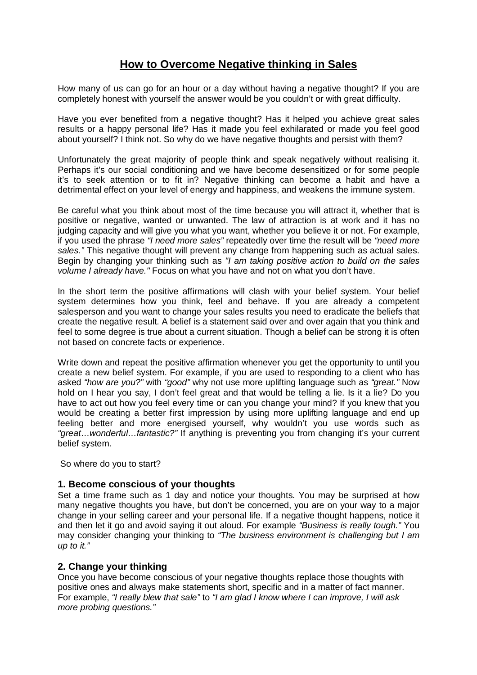# **How to Overcome Negative thinking in Sales**

How many of us can go for an hour or a day without having a negative thought? If you are completely honest with yourself the answer would be you couldn't or with great difficulty.

Have you ever benefited from a negative thought? Has it helped you achieve great sales results or a happy personal life? Has it made you feel exhilarated or made you feel good about yourself? I think not. So why do we have negative thoughts and persist with them?

Unfortunately the great majority of people think and speak negatively without realising it. Perhaps it's our social conditioning and we have become desensitized or for some people it's to seek attention or to fit in? Negative thinking can become a habit and have a detrimental effect on your level of energy and happiness, and weakens the immune system.

Be careful what you think about most of the time because you will attract it, whether that is positive or negative, wanted or unwanted. The law of attraction is at work and it has no judging capacity and will give you what you want, whether you believe it or not. For example, if you used the phrase *"I need more sales"* repeatedly over time the result will be *"need more sales."* This negative thought will prevent any change from happening such as actual sales. Begin by changing your thinking such as *"I am taking positive action to build on the sales volume I already have."* Focus on what you have and not on what you don't have.

In the short term the positive affirmations will clash with your belief system. Your belief system determines how you think, feel and behave. If you are already a competent salesperson and you want to change your sales results you need to eradicate the beliefs that create the negative result. A belief is a statement said over and over again that you think and feel to some degree is true about a current situation. Though a belief can be strong it is often not based on concrete facts or experience.

Write down and repeat the positive affirmation whenever you get the opportunity to until you create a new belief system. For example, if you are used to responding to a client who has asked *"how are you?"* with *"good"* why not use more uplifting language such as *"great."* Now hold on I hear you say, I don't feel great and that would be telling a lie. Is it a lie? Do you have to act out how you feel every time or can you change your mind? If you knew that you would be creating a better first impression by using more uplifting language and end up feeling better and more energised yourself, why wouldn't you use words such as *"great…wonderful…fantastic?"* If anything is preventing you from changing it's your current belief system.

So where do you to start?

### **1. Become conscious of your thoughts**

Set a time frame such as 1 day and notice your thoughts. You may be surprised at how many negative thoughts you have, but don't be concerned, you are on your way to a major change in your selling career and your personal life. If a negative thought happens, notice it and then let it go and avoid saying it out aloud. For example *"Business is really tough."* You may consider changing your thinking to *"The business environment is challenging but I am up to it."*

### **2. Change your thinking**

Once you have become conscious of your negative thoughts replace those thoughts with positive ones and always make statements short, specific and in a matter of fact manner. For example, *"I really blew that sale"* to *"I am glad I know where I can improve, I will ask more probing questions."*